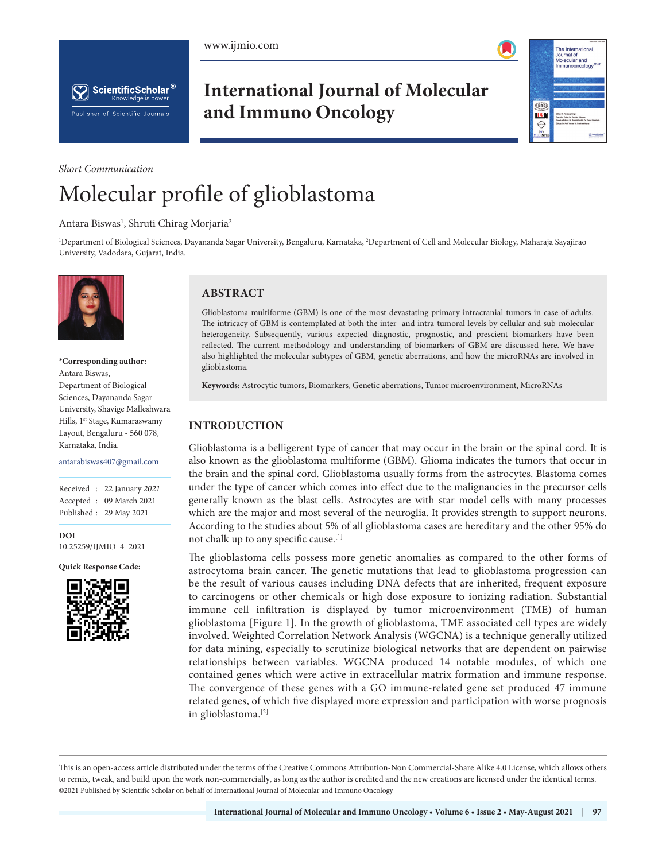



he International Journal of<br>Molecular and<br>Immunooncolo

ŝŭõŝ

i®.  $\hat{\mathbb{Q}}$ 



# **International Journal of Molecular and Immuno Oncology**

#### *Short Communication*

# Molecular profile of glioblastoma

#### Antara Biswas<sup>1</sup>, Shruti Chirag Morjaria<sup>2</sup>

1 Department of Biological Sciences, Dayananda Sagar University, Bengaluru, Karnataka, 2 Department of Cell and Molecular Biology, Maharaja Sayajirao University, Vadodara, Gujarat, India.



#### **\*Corresponding author:** Antara Biswas, Department of Biological Sciences, Dayananda Sagar University, Shavige Malleshwara Hills, 1st Stage, Kumaraswamy Layout, Bengaluru - 560 078, Karnataka, India.

#### antarabiswas407@gmail.com

Received : 22 January *2021* Accepted : 09 March 2021 Published : 29 May 2021

**DOI** [10.25259/IJMIO\\_4\\_2021](https://dx.doi.org/10.25259/IJMIO_4_2021)

**Quick Response Code:**



## **ABSTRACT**

Glioblastoma multiforme (GBM) is one of the most devastating primary intracranial tumors in case of adults. The intricacy of GBM is contemplated at both the inter- and intra-tumoral levels by cellular and sub-molecular heterogeneity. Subsequently, various expected diagnostic, prognostic, and prescient biomarkers have been reflected. The current methodology and understanding of biomarkers of GBM are discussed here. We have also highlighted the molecular subtypes of GBM, genetic aberrations, and how the microRNAs are involved in glioblastoma.

**Keywords:** Astrocytic tumors, Biomarkers, Genetic aberrations, Tumor microenvironment, MicroRNAs

## **INTRODUCTION**

Glioblastoma is a belligerent type of cancer that may occur in the brain or the spinal cord. It is also known as the glioblastoma multiforme (GBM). Glioma indicates the tumors that occur in the brain and the spinal cord. Glioblastoma usually forms from the astrocytes. Blastoma comes under the type of cancer which comes into effect due to the malignancies in the precursor cells generally known as the blast cells. Astrocytes are with star model cells with many processes which are the major and most several of the neuroglia. It provides strength to support neurons. According to the studies about 5% of all glioblastoma cases are hereditary and the other 95% do not chalk up to any specific cause.[1]

The glioblastoma cells possess more genetic anomalies as compared to the other forms of astrocytoma brain cancer. The genetic mutations that lead to glioblastoma progression can be the result of various causes including DNA defects that are inherited, frequent exposure to carcinogens or other chemicals or high dose exposure to ionizing radiation. Substantial immune cell infiltration is displayed by tumor microenvironment (TME) of human glioblastoma [Figure 1]. In the growth of glioblastoma, TME associated cell types are widely involved. Weighted Correlation Network Analysis (WGCNA) is a technique generally utilized for data mining, especially to scrutinize biological networks that are dependent on pairwise relationships between variables. WGCNA produced 14 notable modules, of which one contained genes which were active in extracellular matrix formation and immune response. The convergence of these genes with a GO immune-related gene set produced 47 immune related genes, of which five displayed more expression and participation with worse prognosis in glioblastoma.[2]

This is an open-access article distributed under the terms of the Creative Commons Attribution-Non Commercial-Share Alike 4.0 License, which allows others to remix, tweak, and build upon the work non-commercially, as long as the author is credited and the new creations are licensed under the identical terms. ©2021 Published by Scientific Scholar on behalf of International Journal of Molecular and Immuno Oncology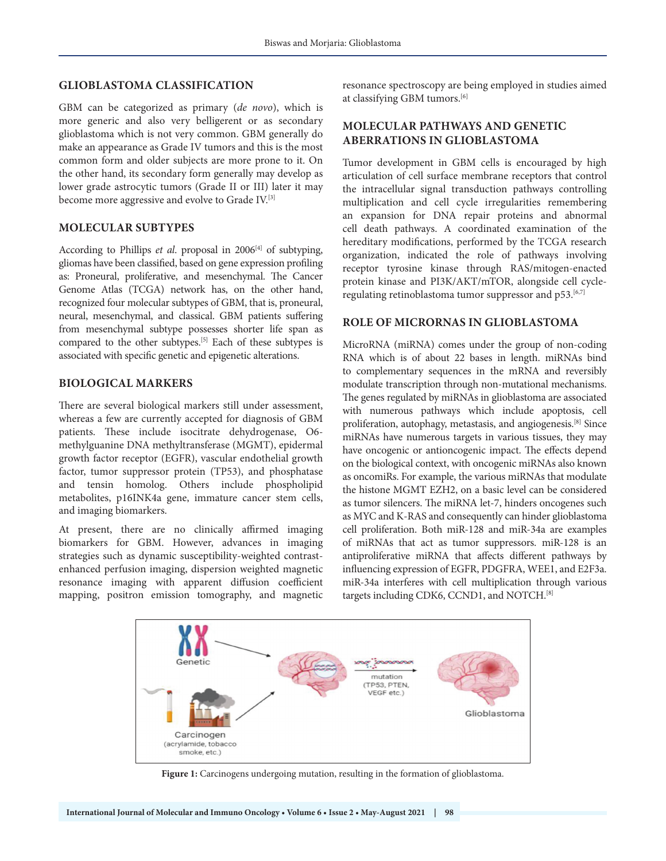#### **GLIOBLASTOMA CLASSIFICATION**

GBM can be categorized as primary (*de novo*), which is more generic and also very belligerent or as secondary glioblastoma which is not very common. GBM generally do make an appearance as Grade IV tumors and this is the most common form and older subjects are more prone to it. On the other hand, its secondary form generally may develop as lower grade astrocytic tumors (Grade II or III) later it may become more aggressive and evolve to Grade IV.[3]

#### **MOLECULAR SUBTYPES**

According to Phillips *et al*. proposal in 2006[4] of subtyping, gliomas have been classified, based on gene expression profiling as: Proneural, proliferative, and mesenchymal. The Cancer Genome Atlas (TCGA) network has, on the other hand, recognized four molecular subtypes of GBM, that is, proneural, neural, mesenchymal, and classical. GBM patients suffering from mesenchymal subtype possesses shorter life span as compared to the other subtypes.[5] Each of these subtypes is associated with specific genetic and epigenetic alterations.

#### **BIOLOGICAL MARKERS**

There are several biological markers still under assessment, whereas a few are currently accepted for diagnosis of GBM patients. These include isocitrate dehydrogenase, O6 methylguanine DNA methyltransferase (MGMT), epidermal growth factor receptor (EGFR), vascular endothelial growth factor, tumor suppressor protein (TP53), and phosphatase and tensin homolog. Others include phospholipid metabolites, p16INK4a gene, immature cancer stem cells, and imaging biomarkers.

At present, there are no clinically affirmed imaging biomarkers for GBM. However, advances in imaging strategies such as dynamic susceptibility-weighted contrastenhanced perfusion imaging, dispersion weighted magnetic resonance imaging with apparent diffusion coefficient mapping, positron emission tomography, and magnetic

resonance spectroscopy are being employed in studies aimed at classifying GBM tumors.[6]

### **MOLECULAR PATHWAYS AND GENETIC ABERRATIONS IN GLIOBLASTOMA**

Tumor development in GBM cells is encouraged by high articulation of cell surface membrane receptors that control the intracellular signal transduction pathways controlling multiplication and cell cycle irregularities remembering an expansion for DNA repair proteins and abnormal cell death pathways. A coordinated examination of the hereditary modifications, performed by the TCGA research organization, indicated the role of pathways involving receptor tyrosine kinase through RAS/mitogen-enacted protein kinase and PI3K/AKT/mTOR, alongside cell cycleregulating retinoblastoma tumor suppressor and p53.<sup>[6,7]</sup>

#### **ROLE OF MICRORNAS IN GLIOBLASTOMA**

MicroRNA (miRNA) comes under the group of non-coding RNA which is of about 22 bases in length. miRNAs bind to complementary sequences in the mRNA and reversibly modulate transcription through non-mutational mechanisms. The genes regulated by miRNAs in glioblastoma are associated with numerous pathways which include apoptosis, cell proliferation, autophagy, metastasis, and angiogenesis.[8] Since miRNAs have numerous targets in various tissues, they may have oncogenic or antioncogenic impact. The effects depend on the biological context, with oncogenic miRNAs also known as oncomiRs. For example, the various miRNAs that modulate the histone MGMT EZH2, on a basic level can be considered as tumor silencers. The miRNA let-7, hinders oncogenes such as MYC and K-RAS and consequently can hinder glioblastoma cell proliferation. Both miR-128 and miR-34a are examples of miRNAs that act as tumor suppressors. miR-128 is an antiproliferative miRNA that affects different pathways by influencing expression of EGFR, PDGFRA, WEE1, and E2F3a. miR-34a interferes with cell multiplication through various targets including CDK6, CCND1, and NOTCH.[8]



**Figure 1:** Carcinogens undergoing mutation, resulting in the formation of glioblastoma.